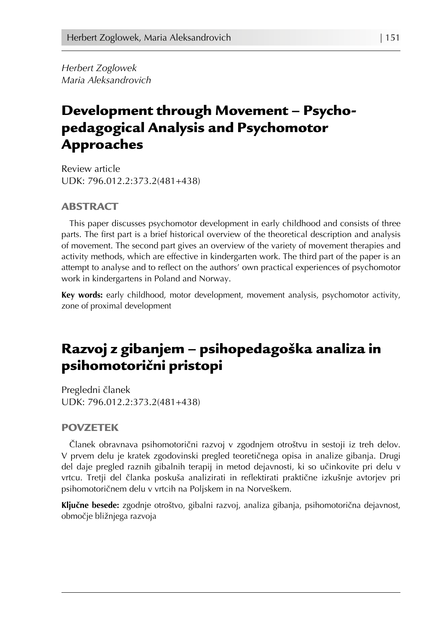*Herbert Zoglowek Maria Aleksandrovich*

# Development through Movement – Psychopedagogical Analysis and Psychomotor Approaches

Review article UDK: 796.012.2:373.2(481+438)

### ABSTRACT

This paper discusses psychomotor development in early childhood and consists of three parts. The first part is a brief historical overview of the theoretical description and analysis of movement. The second part gives an overview of the variety of movement therapies and activity methods, which are effective in kindergarten work. The third part of the paper is an attempt to analyse and to reflect on the authors' own practical experiences of psychomotor work in kindergartens in Poland and Norway.

**Key words:** early childhood, motor development, movement analysis, psychomotor activity, zone of proximal development

# Razvoj z gibanjem – psihopedagoška analiza in psihomotorični pristopi

Pregledni članek UDK: 796.012.2:373.2(481+438)

#### POVZETEK

Članek obravnava psihomotorični razvoj v zgodnjem otroštvu in sestoji iz treh delov. V prvem delu je kratek zgodovinski pregled teoretičnega opisa in analize gibanja. Drugi del daje pregled raznih gibalnih terapij in metod dejavnosti, ki so učinkovite pri delu v vrtcu. Tretji del članka poskuša analizirati in reflektirati praktične izkušnje avtorjev pri psihomotoričnem delu v vrtcih na Poljskem in na Norveškem.

**Ključne besede:** zgodnje otroštvo, gibalni razvoj, analiza gibanja, psihomotorična dejavnost, območje bližnjega razvoja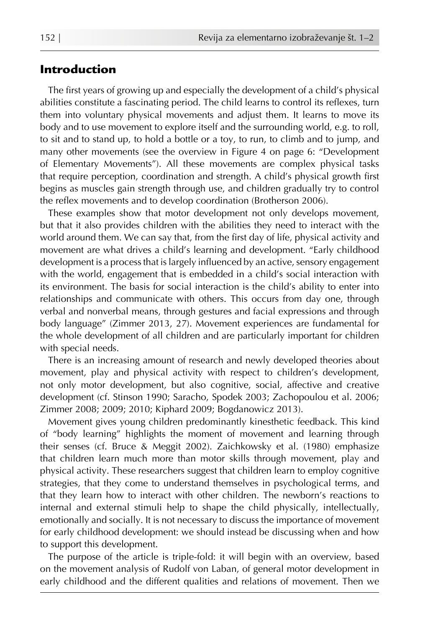## Introduction

The first years of growing up and especially the development of a child's physical abilities constitute a fascinating period. The child learns to control its reflexes, turn them into voluntary physical movements and adjust them. It learns to move its body and to use movement to explore itself and the surrounding world, e.g. to roll, to sit and to stand up, to hold a bottle or a toy, to run, to climb and to jump, and many other movements (see the overview in Figure 4 on page 6: "Development of Elementary Movements"). All these movements are complex physical tasks that require perception, coordination and strength. A child's physical growth first begins as muscles gain strength through use, and children gradually try to control the reflex movements and to develop coordination (Brotherson 2006).

These examples show that motor development not only develops movement, but that it also provides children with the abilities they need to interact with the world around them. We can say that, from the first day of life, physical activity and movement are what drives a child's learning and development. "Early childhood development is a process that is largely influenced by an active, sensory engagement with the world, engagement that is embedded in a child's social interaction with its environment. The basis for social interaction is the child's ability to enter into relationships and communicate with others. This occurs from day one, through verbal and nonverbal means, through gestures and facial expressions and through body language" (Zimmer 2013, 27). Movement experiences are fundamental for the whole development of all children and are particularly important for children with special needs.

There is an increasing amount of research and newly developed theories about movement, play and physical activity with respect to children's development, not only motor development, but also cognitive, social, affective and creative development (cf. Stinson 1990; Saracho, Spodek 2003; Zachopoulou et al. 2006; Zimmer 2008; 2009; 2010; Kiphard 2009; Bogdanowicz 2013).

Movement gives young children predominantly kinesthetic feedback. This kind of "body learning" highlights the moment of movement and learning through their senses (cf. Bruce & Meggit 2002). Zaichkowsky et al. (1980) emphasize that children learn much more than motor skills through movement, play and physical activity. These researchers suggest that children learn to employ cognitive strategies, that they come to understand themselves in psychological terms, and that they learn how to interact with other children. The newborn's reactions to internal and external stimuli help to shape the child physically, intellectually, emotionally and socially. It is not necessary to discuss the importance of movement for early childhood development: we should instead be discussing when and how to support this development.

The purpose of the article is triple-fold: it will begin with an overview, based on the movement analysis of Rudolf von Laban, of general motor development in early childhood and the different qualities and relations of movement. Then we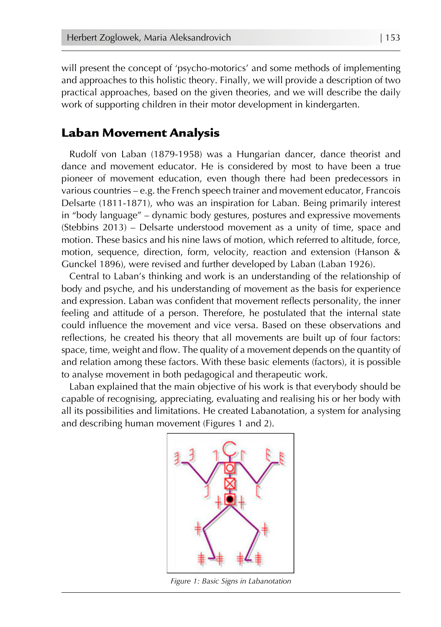will present the concept of 'psycho-motorics' and some methods of implementing and approaches to this holistic theory. Finally, we will provide a description of two practical approaches, based on the given theories, and we will describe the daily work of supporting children in their motor development in kindergarten.

## Laban Movement Analysis

Rudolf von Laban (1879-1958) was a Hungarian dancer, dance theorist and dance and movement educator. He is considered by most to have been a true pioneer of movement education, even though there had been predecessors in various countries – e.g. the French speech trainer and movement educator, Francois Delsarte (1811-1871), who was an inspiration for Laban. Being primarily interest in "body language" – dynamic body gestures, postures and expressive movements (Stebbins 2013) – Delsarte understood movement as a unity of time, space and motion. These basics and his nine laws of motion, which referred to altitude, force, motion, sequence, direction, form, velocity, reaction and extension (Hanson & Gunckel 1896), were revised and further developed by Laban (Laban 1926).

Central to Laban's thinking and work is an understanding of the relationship of body and psyche, and his understanding of movement as the basis for experience and expression. Laban was confident that movement reflects personality, the inner feeling and attitude of a person. Therefore, he postulated that the internal state could influence the movement and vice versa. Based on these observations and reflections, he created his theory that all movements are built up of four factors: space, time, weight and flow. The quality of a movement depends on the quantity of and relation among these factors. With these basic elements (factors), it is possible to analyse movement in both pedagogical and therapeutic work.

Laban explained that the main objective of his work is that everybody should be capable of recognising, appreciating, evaluating and realising his or her body with all its possibilities and limitations. He created Labanotation, a system for analysing and describing human movement (Figures 1 and 2).



*Figure 1: Basic Signs in Labanotation*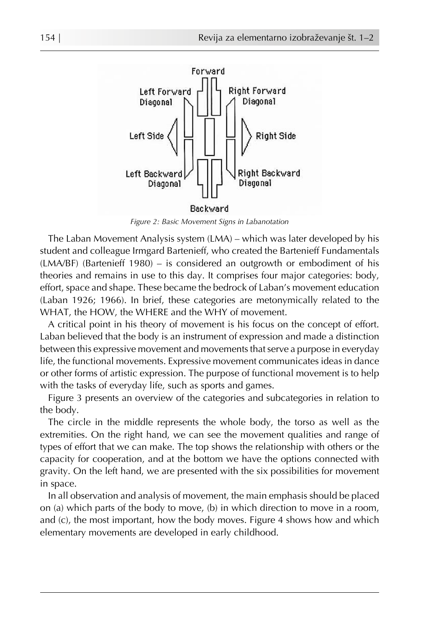

*Figure 2: Basic Movement Signs in Labanotation*

The Laban Movement Analysis system (LMA) – which was later developed by his student and colleague Irmgard Bartenieff, who created the Bartenieff Fundamentals (LMA/BF) (Bartenieff 1980) – is considered an outgrowth or embodiment of his theories and remains in use to this day. It comprises four major categories: body, effort, space and shape. These became the bedrock of Laban's movement education (Laban 1926; 1966). In brief, these categories are metonymically related to the WHAT, the HOW, the WHERE and the WHY of movement.

A critical point in his theory of movement is his focus on the concept of effort. Laban believed that the body is an instrument of expression and made a distinction between this expressive movement and movements that serve a purpose in everyday life, the functional movements. Expressive movement communicates ideas in dance or other forms of artistic expression. The purpose of functional movement is to help with the tasks of everyday life, such as sports and games.

Figure 3 presents an overview of the categories and subcategories in relation to the body.

The circle in the middle represents the whole body, the torso as well as the extremities. On the right hand, we can see the movement qualities and range of types of effort that we can make. The top shows the relationship with others or the capacity for cooperation, and at the bottom we have the options connected with gravity. On the left hand, we are presented with the six possibilities for movement in space.

In all observation and analysis of movement, the main emphasis should be placed on (a) which parts of the body to move, (b) in which direction to move in a room, and (c), the most important, how the body moves. Figure 4 shows how and which elementary movements are developed in early childhood.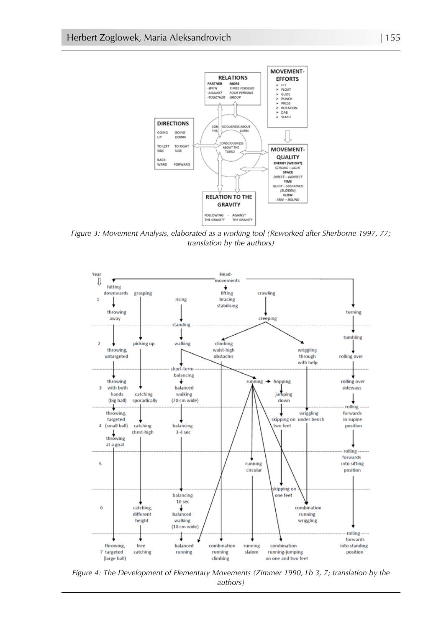

*Figure 3: Movement Analysis, elaborated as a working tool (Reworked after Sherborne 1997, 77; translation by the authors)*



*Figure 4: The Development of Elementary Movements (Zimmer 1990, Lb 3, 7; translation by the authors)*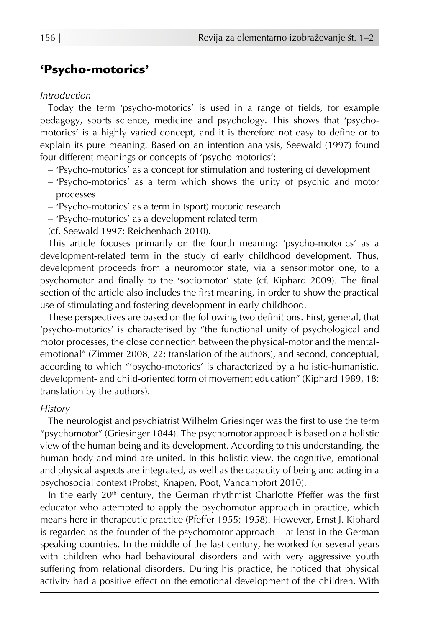## 'Psycho-motorics'

#### *Introduction*

Today the term 'psycho-motorics' is used in a range of fields, for example pedagogy, sports science, medicine and psychology. This shows that 'psychomotorics' is a highly varied concept, and it is therefore not easy to define or to explain its pure meaning. Based on an intention analysis, Seewald (1997) found four different meanings or concepts of 'psycho-motorics':

- 'Psycho-motorics' as a concept for stimulation and fostering of development
- 'Psycho-motorics' as a term which shows the unity of psychic and motor processes
- 'Psycho-motorics' as a term in (sport) motoric research
- 'Psycho-motorics' as a development related term

(cf. Seewald 1997; Reichenbach 2010).

This article focuses primarily on the fourth meaning: 'psycho-motorics' as a development-related term in the study of early childhood development. Thus, development proceeds from a neuromotor state, via a sensorimotor one, to a psychomotor and finally to the 'sociomotor' state (cf. Kiphard 2009). The final section of the article also includes the first meaning, in order to show the practical use of stimulating and fostering development in early childhood.

These perspectives are based on the following two definitions. First, general, that 'psycho-motorics' is characterised by "the functional unity of psychological and motor processes, the close connection between the physical-motor and the mentalemotional" (Zimmer 2008, 22; translation of the authors), and second, conceptual, according to which "'psycho-motorics' is characterized by a holistic-humanistic, development- and child-oriented form of movement education" (Kiphard 1989, 18; translation by the authors).

#### *History*

The neurologist and psychiatrist Wilhelm Griesinger was the first to use the term "psychomotor" (Griesinger 1844). The psychomotor approach is based on a holistic view of the human being and its development. According to this understanding, the human body and mind are united. In this holistic view, the cognitive, emotional and physical aspects are integrated, as well as the capacity of being and acting in a psychosocial context (Probst, Knapen, Poot, Vancampfort 2010).

In the early  $20<sup>th</sup>$  century, the German rhythmist Charlotte Pfeffer was the first educator who attempted to apply the psychomotor approach in practice, which means here in therapeutic practice (Pfeffer 1955; 1958). However, Ernst J. Kiphard is regarded as the founder of the psychomotor approach – at least in the German speaking countries. In the middle of the last century, he worked for several years with children who had behavioural disorders and with very aggressive youth suffering from relational disorders. During his practice, he noticed that physical activity had a positive effect on the emotional development of the children. With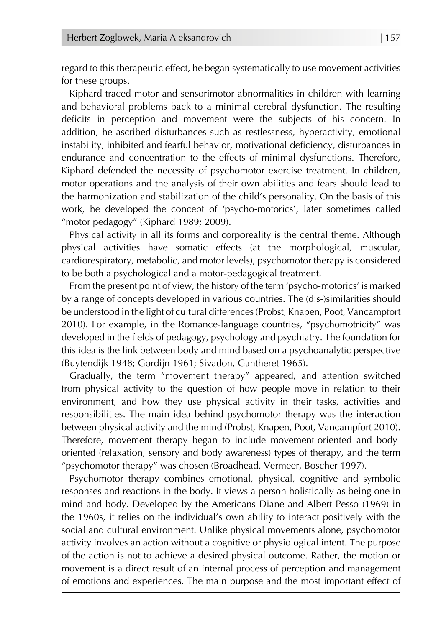regard to this therapeutic effect, he began systematically to use movement activities for these groups.

Kiphard traced motor and sensorimotor abnormalities in children with learning and behavioral problems back to a minimal cerebral dysfunction. The resulting deficits in perception and movement were the subjects of his concern. In addition, he ascribed disturbances such as restlessness, hyperactivity, emotional instability, inhibited and fearful behavior, motivational deficiency, disturbances in endurance and concentration to the effects of minimal dysfunctions. Therefore, Kiphard defended the necessity of psychomotor exercise treatment. In children, motor operations and the analysis of their own abilities and fears should lead to the harmonization and stabilization of the child's personality. On the basis of this work, he developed the concept of 'psycho-motorics', later sometimes called "motor pedagogy" (Kiphard 1989; 2009).

Physical activity in all its forms and corporeality is the central theme. Although physical activities have somatic effects (at the morphological, muscular, cardiorespiratory, metabolic, and motor levels), psychomotor therapy is considered to be both a psychological and a motor-pedagogical treatment.

From the present point of view, the history of the term 'psycho-motorics' is marked by a range of concepts developed in various countries. The (dis-)similarities should be understood in the light of cultural differences (Probst, Knapen, Poot, Vancampfort 2010). For example, in the Romance-language countries, "psychomotricity" was developed in the fields of pedagogy, psychology and psychiatry. The foundation for this idea is the link between body and mind based on a psychoanalytic perspective (Buytendijk 1948; Gordijn 1961; Sivadon, Gantheret 1965).

Gradually, the term "movement therapy" appeared, and attention switched from physical activity to the question of how people move in relation to their environment, and how they use physical activity in their tasks, activities and responsibilities. The main idea behind psychomotor therapy was the interaction between physical activity and the mind (Probst, Knapen, Poot, Vancampfort 2010). Therefore, movement therapy began to include movement-oriented and bodyoriented (relaxation, sensory and body awareness) types of therapy, and the term "psychomotor therapy" was chosen (Broadhead, Vermeer, Boscher 1997).

Psychomotor therapy combines emotional, physical, cognitive and symbolic responses and reactions in the body. It views a person holistically as being one in mind and body. Developed by the Americans Diane and Albert Pesso (1969) in the 1960s, it relies on the individual's own ability to interact positively with the social and cultural environment. Unlike physical movements alone, psychomotor activity involves an action without a cognitive or physiological intent. The purpose of the action is not to achieve a desired physical outcome. Rather, the motion or movement is a direct result of an internal process of perception and management of emotions and experiences. The main purpose and the most important effect of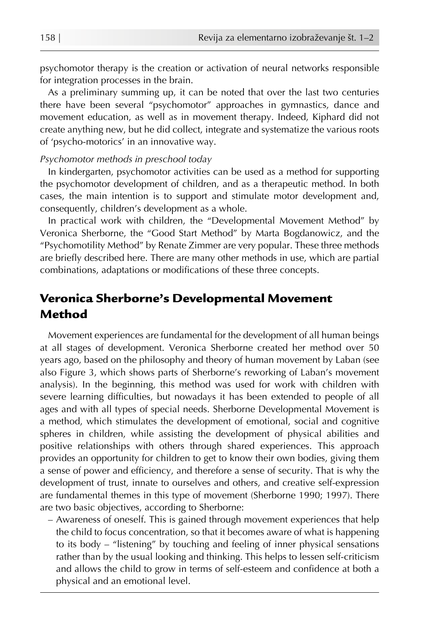psychomotor therapy is the creation or activation of neural networks responsible for integration processes in the brain.

As a preliminary summing up, it can be noted that over the last two centuries there have been several "psychomotor" approaches in gymnastics, dance and movement education, as well as in movement therapy. Indeed, Kiphard did not create anything new, but he did collect, integrate and systematize the various roots of 'psycho-motorics' in an innovative way.

#### *Psychomotor methods in preschool today*

In kindergarten, psychomotor activities can be used as a method for supporting the psychomotor development of children, and as a therapeutic method. In both cases, the main intention is to support and stimulate motor development and, consequently, children's development as a whole.

In practical work with children, the "Developmental Movement Method" by Veronica Sherborne, the "Good Start Method" by Marta Bogdanowicz, and the "Psychomotility Method" by Renate Zimmer are very popular. These three methods are briefly described here. There are many other methods in use, which are partial combinations, adaptations or modifications of these three concepts.

## Veronica Sherborne's Developmental Movement Method

Movement experiences are fundamental for the development of all human beings at all stages of development. Veronica Sherborne created her method over 50 years ago, based on the philosophy and theory of human movement by Laban (see also Figure 3, which shows parts of Sherborne's reworking of Laban's movement analysis). In the beginning, this method was used for work with children with severe learning difficulties, but nowadays it has been extended to people of all ages and with all types of special needs. Sherborne Developmental Movement is a method, which stimulates the development of emotional, social and cognitive spheres in children, while assisting the development of physical abilities and positive relationships with others through shared experiences. This approach provides an opportunity for children to get to know their own bodies, giving them a sense of power and efficiency, and therefore a sense of security. That is why the development of trust, innate to ourselves and others, and creative self-expression are fundamental themes in this type of movement (Sherborne 1990; 1997). There are two basic objectives, according to Sherborne:

– Awareness of oneself. This is gained through movement experiences that help the child to focus concentration, so that it becomes aware of what is happening to its body – "listening" by touching and feeling of inner physical sensations rather than by the usual looking and thinking. This helps to lessen self-criticism and allows the child to grow in terms of self-esteem and confidence at both a physical and an emotional level.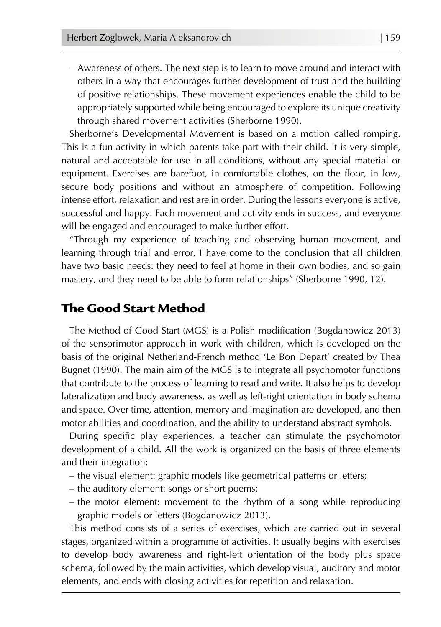– Awareness of others. The next step is to learn to move around and interact with others in a way that encourages further development of trust and the building of positive relationships. These movement experiences enable the child to be appropriately supported while being encouraged to explore its unique creativity through shared movement activities (Sherborne 1990).

Sherborne's Developmental Movement is based on a motion called romping. This is a fun activity in which parents take part with their child. It is very simple, natural and acceptable for use in all conditions, without any special material or equipment. Exercises are barefoot, in comfortable clothes, on the floor, in low, secure body positions and without an atmosphere of competition. Following intense effort, relaxation and rest are in order. During the lessons everyone is active, successful and happy. Each movement and activity ends in success, and everyone will be engaged and encouraged to make further effort.

"Through my experience of teaching and observing human movement, and learning through trial and error, I have come to the conclusion that all children have two basic needs: they need to feel at home in their own bodies, and so gain mastery, and they need to be able to form relationships" (Sherborne 1990, 12).

### The Good Start Method

The Method of Good Start (MGS) is a Polish modification (Bogdanowicz 2013) of the sensorimotor approach in work with children, which is developed on the basis of the original Netherland-French method 'Le Bon Depart' created by Thea Bugnet (1990). The main aim of the MGS is to integrate all psychomotor functions that contribute to the process of learning to read and write. It also helps to develop lateralization and body awareness, as well as left-right orientation in body schema and space. Over time, attention, memory and imagination are developed, and then motor abilities and coordination, and the ability to understand abstract symbols.

During specific play experiences, a teacher can stimulate the psychomotor development of a child. All the work is organized on the basis of three elements and their integration:

- the visual element: graphic models like geometrical patterns or letters;
- the auditory element: songs or short poems;
- the motor element: movement to the rhythm of a song while reproducing graphic models or letters (Bogdanowicz 2013).

This method consists of a series of exercises, which are carried out in several stages, organized within a programme of activities. It usually begins with exercises to develop body awareness and right-left orientation of the body plus space schema, followed by the main activities, which develop visual, auditory and motor elements, and ends with closing activities for repetition and relaxation.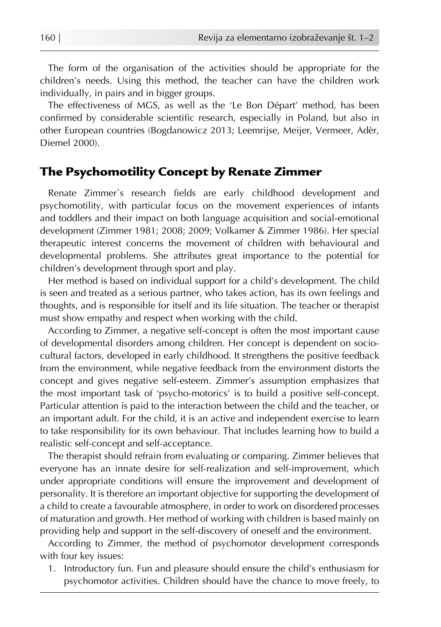The form of the organisation of the activities should be appropriate for the children's needs. Using this method, the teacher can have the children work individually, in pairs and in bigger groups.

The effectiveness of MGS, as well as the 'Le Bon Départ' method, has been confirmed by considerable scientific research, especially in Poland, but also in other European countries (Bogdanowicz 2013; Leemrijse, Meijer, Vermeer, Adèr, Diemel 2000).

## The Psychomotility Concept by Renate Zimmer

Renate Zimmer`s research fields are early childhood development and psychomotility, with particular focus on the movement experiences of infants and toddlers and their impact on both language acquisition and social-emotional development (Zimmer 1981; 2008; 2009; Volkamer & Zimmer 1986). Her special therapeutic interest concerns the movement of children with behavioural and developmental problems. She attributes great importance to the potential for children's development through sport and play.

Her method is based on individual support for a child's development. The child is seen and treated as a serious partner, who takes action, has its own feelings and thoughts, and is responsible for itself and its life situation. The teacher or therapist must show empathy and respect when working with the child.

According to Zimmer, a negative self-concept is often the most important cause of developmental disorders among children. Her concept is dependent on sociocultural factors, developed in early childhood. It strengthens the positive feedback from the environment, while negative feedback from the environment distorts the concept and gives negative self-esteem. Zimmer's assumption emphasizes that the most important task of 'psycho-motorics' is to build a positive self-concept. Particular attention is paid to the interaction between the child and the teacher, or an important adult. For the child, it is an active and independent exercise to learn to take responsibility for its own behaviour. That includes learning how to build a realistic self-concept and self-acceptance.

The therapist should refrain from evaluating or comparing. Zimmer believes that everyone has an innate desire for self-realization and self-improvement, which under appropriate conditions will ensure the improvement and development of personality. It is therefore an important objective for supporting the development of a child to create a favourable atmosphere, in order to work on disordered processes of maturation and growth. Her method of working with children is based mainly on providing help and support in the self-discovery of oneself and the environment.

According to Zimmer, the method of psychomotor development corresponds with four key issues:

1. Introductory fun. Fun and pleasure should ensure the child's enthusiasm for psychomotor activities. Children should have the chance to move freely, to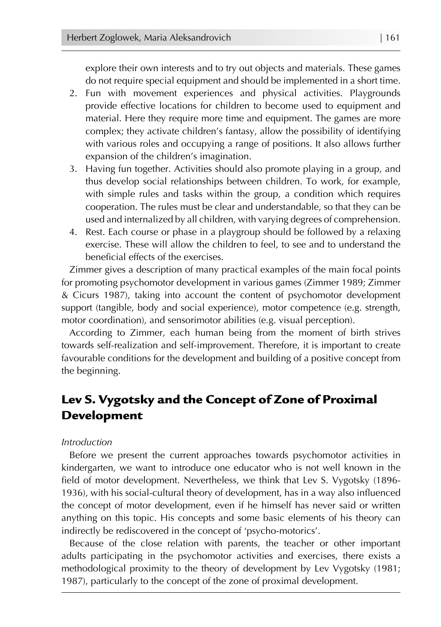explore their own interests and to try out objects and materials. These games do not require special equipment and should be implemented in a short time.

- 2. Fun with movement experiences and physical activities. Playgrounds provide effective locations for children to become used to equipment and material. Here they require more time and equipment. The games are more complex; they activate children's fantasy, allow the possibility of identifying with various roles and occupying a range of positions. It also allows further expansion of the children's imagination.
- 3. Having fun together. Activities should also promote playing in a group, and thus develop social relationships between children. To work, for example, with simple rules and tasks within the group, a condition which requires cooperation. The rules must be clear and understandable, so that they can be used and internalized by all children, with varying degrees of comprehension.
- 4. Rest. Each course or phase in a playgroup should be followed by a relaxing exercise. These will allow the children to feel, to see and to understand the beneficial effects of the exercises.

Zimmer gives a description of many practical examples of the main focal points for promoting psychomotor development in various games (Zimmer 1989; Zimmer & Cicurs 1987), taking into account the content of psychomotor development support (tangible, body and social experience), motor competence (e.g. strength, motor coordination), and sensorimotor abilities (e.g. visual perception).

According to Zimmer, each human being from the moment of birth strives towards self-realization and self-improvement. Therefore, it is important to create favourable conditions for the development and building of a positive concept from the beginning.

## Lev S. Vygotsky and the Concept of Zone of Proximal Development

### *Introduction*

Before we present the current approaches towards psychomotor activities in kindergarten, we want to introduce one educator who is not well known in the field of motor development. Nevertheless, we think that Lev S. Vygotsky (1896- 1936), with his social-cultural theory of development, has in a way also influenced the concept of motor development, even if he himself has never said or written anything on this topic. His concepts and some basic elements of his theory can indirectly be rediscovered in the concept of 'psycho-motorics'.

Because of the close relation with parents, the teacher or other important adults participating in the psychomotor activities and exercises, there exists a methodological proximity to the theory of development by Lev Vygotsky (1981; 1987), particularly to the concept of the zone of proximal development.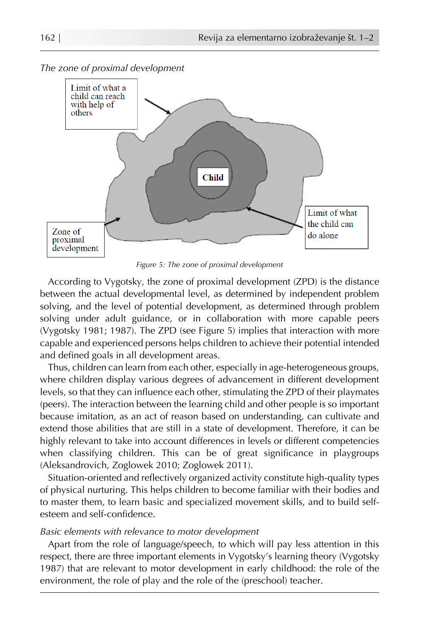

*The zone of proximal development*

*Figure 5: The zone of proximal development*

According to Vygotsky, the zone of proximal development (ZPD) is the distance between the actual developmental level, as determined by independent problem solving, and the level of potential development, as determined through problem solving under adult guidance, or in collaboration with more capable peers (Vygotsky 1981; 1987). The ZPD (see Figure 5) implies that interaction with more capable and experienced persons helps children to achieve their potential intended and defined goals in all development areas.

Thus, children can learn from each other, especially in age-heterogeneous groups, where children display various degrees of advancement in different development levels, so that they can influence each other, stimulating the ZPD of their playmates (peers). The interaction between the learning child and other people is so important because imitation, as an act of reason based on understanding, can cultivate and extend those abilities that are still in a state of development. Therefore, it can be highly relevant to take into account differences in levels or different competencies when classifying children. This can be of great significance in playgroups (Aleksandrovich, Zoglowek 2010; Zoglowek 2011).

Situation-oriented and reflectively organized activity constitute high-quality types of physical nurturing. This helps children to become familiar with their bodies and to master them, to learn basic and specialized movement skills, and to build selfesteem and self-confidence.

#### *Basic elements with relevance to motor development*

Apart from the role of language/speech, to which will pay less attention in this respect, there are three important elements in Vygotsky's learning theory (Vygotsky 1987) that are relevant to motor development in early childhood: the role of the environment, the role of play and the role of the (preschool) teacher.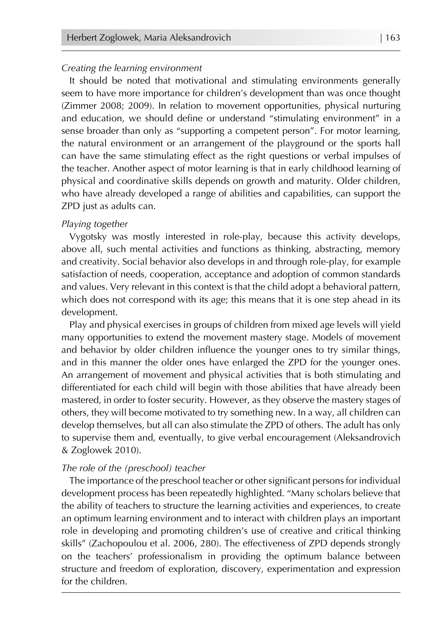#### *Creating the learning environment*

It should be noted that motivational and stimulating environments generally seem to have more importance for children's development than was once thought (Zimmer 2008; 2009). In relation to movement opportunities, physical nurturing and education, we should define or understand "stimulating environment" in a sense broader than only as "supporting a competent person". For motor learning, the natural environment or an arrangement of the playground or the sports hall can have the same stimulating effect as the right questions or verbal impulses of the teacher. Another aspect of motor learning is that in early childhood learning of physical and coordinative skills depends on growth and maturity. Older children, who have already developed a range of abilities and capabilities, can support the ZPD just as adults can.

#### *Playing together*

Vygotsky was mostly interested in role-play, because this activity develops, above all, such mental activities and functions as thinking, abstracting, memory and creativity. Social behavior also develops in and through role-play, for example satisfaction of needs, cooperation, acceptance and adoption of common standards and values. Very relevant in this context is that the child adopt a behavioral pattern, which does not correspond with its age; this means that it is one step ahead in its development.

Play and physical exercises in groups of children from mixed age levels will yield many opportunities to extend the movement mastery stage. Models of movement and behavior by older children influence the younger ones to try similar things, and in this manner the older ones have enlarged the ZPD for the younger ones. An arrangement of movement and physical activities that is both stimulating and differentiated for each child will begin with those abilities that have already been mastered, in order to foster security. However, as they observe the mastery stages of others, they will become motivated to try something new. In a way, all children can develop themselves, but all can also stimulate the ZPD of others. The adult has only to supervise them and, eventually, to give verbal encouragement (Aleksandrovich & Zoglowek 2010).

#### *The role of the (preschool) teacher*

The importance of the preschool teacher or other significant persons for individual development process has been repeatedly highlighted. "Many scholars believe that the ability of teachers to structure the learning activities and experiences, to create an optimum learning environment and to interact with children plays an important role in developing and promoting children's use of creative and critical thinking skills" (Zachopoulou et al. 2006, 280). The effectiveness of ZPD depends strongly on the teachers' professionalism in providing the optimum balance between structure and freedom of exploration, discovery, experimentation and expression for the children.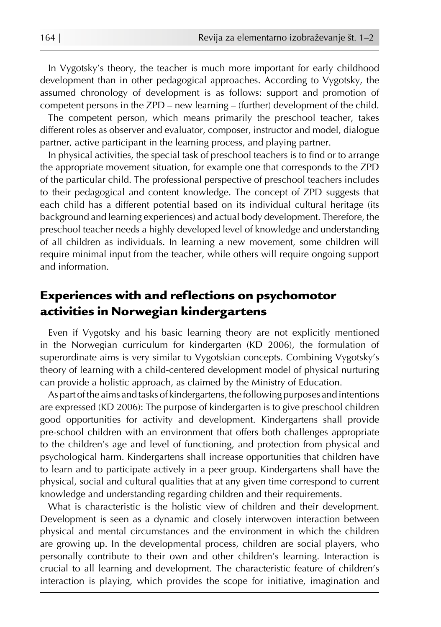In Vygotsky's theory, the teacher is much more important for early childhood development than in other pedagogical approaches. According to Vygotsky, the assumed chronology of development is as follows: support and promotion of competent persons in the ZPD – new learning – (further) development of the child.

The competent person, which means primarily the preschool teacher, takes different roles as observer and evaluator, composer, instructor and model, dialogue partner, active participant in the learning process, and playing partner.

In physical activities, the special task of preschool teachers is to find or to arrange the appropriate movement situation, for example one that corresponds to the ZPD of the particular child. The professional perspective of preschool teachers includes to their pedagogical and content knowledge. The concept of ZPD suggests that each child has a different potential based on its individual cultural heritage (its background and learning experiences) and actual body development. Therefore, the preschool teacher needs a highly developed level of knowledge and understanding of all children as individuals. In learning a new movement, some children will require minimal input from the teacher, while others will require ongoing support and information.

## Experiences with and reflections on psychomotor activities in Norwegian kindergartens

Even if Vygotsky and his basic learning theory are not explicitly mentioned in the Norwegian curriculum for kindergarten (KD 2006), the formulation of superordinate aims is very similar to Vygotskian concepts. Combining Vygotsky's theory of learning with a child-centered development model of physical nurturing can provide a holistic approach, as claimed by the Ministry of Education.

As part of the aims and tasks of kindergartens, the following purposes and intentions are expressed (KD 2006): The purpose of kindergarten is to give preschool children good opportunities for activity and development. Kindergartens shall provide pre-school children with an environment that offers both challenges appropriate to the children's age and level of functioning, and protection from physical and psychological harm. Kindergartens shall increase opportunities that children have to learn and to participate actively in a peer group. Kindergartens shall have the physical, social and cultural qualities that at any given time correspond to current knowledge and understanding regarding children and their requirements.

What is characteristic is the holistic view of children and their development. Development is seen as a dynamic and closely interwoven interaction between physical and mental circumstances and the environment in which the children are growing up. In the developmental process, children are social players, who personally contribute to their own and other children's learning. Interaction is crucial to all learning and development. The characteristic feature of children's interaction is playing, which provides the scope for initiative, imagination and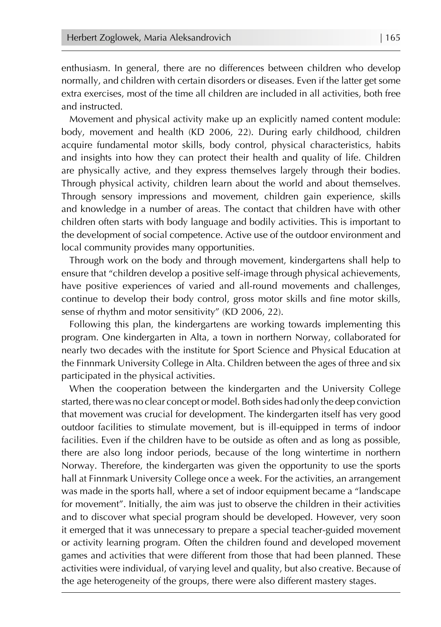enthusiasm. In general, there are no differences between children who develop normally, and children with certain disorders or diseases. Even if the latter get some extra exercises, most of the time all children are included in all activities, both free and instructed.

Movement and physical activity make up an explicitly named content module: body, movement and health (KD 2006, 22). During early childhood, children acquire fundamental motor skills, body control, physical characteristics, habits and insights into how they can protect their health and quality of life. Children are physically active, and they express themselves largely through their bodies. Through physical activity, children learn about the world and about themselves. Through sensory impressions and movement, children gain experience, skills and knowledge in a number of areas. The contact that children have with other children often starts with body language and bodily activities. This is important to the development of social competence. Active use of the outdoor environment and local community provides many opportunities.

Through work on the body and through movement, kindergartens shall help to ensure that "children develop a positive self-image through physical achievements, have positive experiences of varied and all-round movements and challenges, continue to develop their body control, gross motor skills and fine motor skills, sense of rhythm and motor sensitivity" (KD 2006, 22).

Following this plan, the kindergartens are working towards implementing this program. One kindergarten in Alta, a town in northern Norway, collaborated for nearly two decades with the institute for Sport Science and Physical Education at the Finnmark University College in Alta. Children between the ages of three and six participated in the physical activities.

When the cooperation between the kindergarten and the University College started, there was no clear concept or model. Both sides had only the deep conviction that movement was crucial for development. The kindergarten itself has very good outdoor facilities to stimulate movement, but is ill-equipped in terms of indoor facilities. Even if the children have to be outside as often and as long as possible, there are also long indoor periods, because of the long wintertime in northern Norway. Therefore, the kindergarten was given the opportunity to use the sports hall at Finnmark University College once a week. For the activities, an arrangement was made in the sports hall, where a set of indoor equipment became a "landscape for movement". Initially, the aim was just to observe the children in their activities and to discover what special program should be developed. However, very soon it emerged that it was unnecessary to prepare a special teacher-guided movement or activity learning program. Often the children found and developed movement games and activities that were different from those that had been planned. These activities were individual, of varying level and quality, but also creative. Because of the age heterogeneity of the groups, there were also different mastery stages.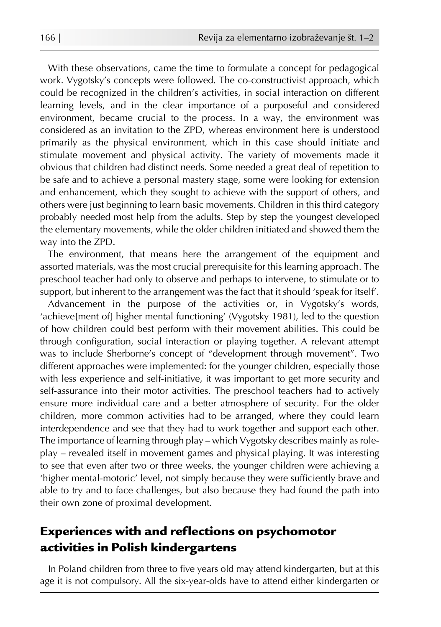With these observations, came the time to formulate a concept for pedagogical work. Vygotsky's concepts were followed. The co-constructivist approach, which could be recognized in the children's activities, in social interaction on different learning levels, and in the clear importance of a purposeful and considered environment, became crucial to the process. In a way, the environment was considered as an invitation to the ZPD, whereas environment here is understood primarily as the physical environment, which in this case should initiate and stimulate movement and physical activity. The variety of movements made it obvious that children had distinct needs. Some needed a great deal of repetition to be safe and to achieve a personal mastery stage, some were looking for extension and enhancement, which they sought to achieve with the support of others, and others were just beginning to learn basic movements. Children in this third category probably needed most help from the adults. Step by step the youngest developed the elementary movements, while the older children initiated and showed them the way into the ZPD.

The environment, that means here the arrangement of the equipment and assorted materials, was the most crucial prerequisite for this learning approach. The preschool teacher had only to observe and perhaps to intervene, to stimulate or to support, but inherent to the arrangement was the fact that it should 'speak for itself'.

Advancement in the purpose of the activities or, in Vygotsky's words, 'achieve[ment of] higher mental functioning' (Vygotsky 1981), led to the question of how children could best perform with their movement abilities. This could be through configuration, social interaction or playing together. A relevant attempt was to include Sherborne's concept of "development through movement". Two different approaches were implemented: for the younger children, especially those with less experience and self-initiative, it was important to get more security and self-assurance into their motor activities. The preschool teachers had to actively ensure more individual care and a better atmosphere of security. For the older children, more common activities had to be arranged, where they could learn interdependence and see that they had to work together and support each other. The importance of learning through play – which Vygotsky describes mainly as roleplay – revealed itself in movement games and physical playing. It was interesting to see that even after two or three weeks, the younger children were achieving a 'higher mental-motoric' level, not simply because they were sufficiently brave and able to try and to face challenges, but also because they had found the path into their own zone of proximal development.

## Experiences with and reflections on psychomotor activities in Polish kindergartens

In Poland children from three to five years old may attend kindergarten, but at this age it is not compulsory. All the six-year-olds have to attend either kindergarten or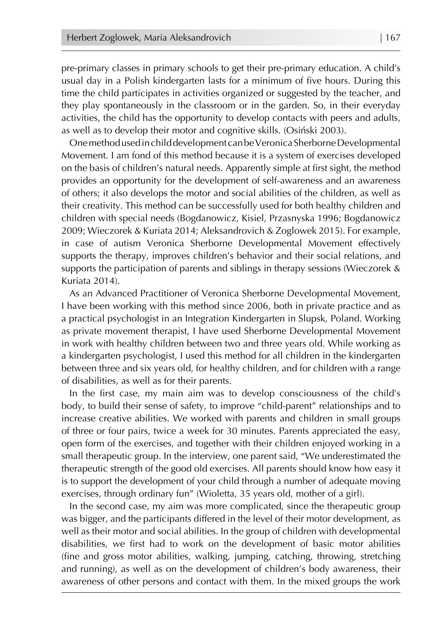pre-primary classes in primary schools to get their pre-primary education. A child's usual day in a Polish kindergarten lasts for a minimum of five hours. During this time the child participates in activities organized or suggested by the teacher, and they play spontaneously in the classroom or in the garden. So, in their everyday activities, the child has the opportunity to develop contacts with peers and adults, as well as to develop their motor and cognitive skills. (Osiński 2003).

One method used in child development can be Veronica Sherborne Developmental Movement. I am fond of this method because it is a system of exercises developed on the basis of children's natural needs. Apparently simple at first sight, the method provides an opportunity for the development of self-awareness and an awareness of others; it also develops the motor and social abilities of the children, as well as their creativity. This method can be successfully used for both healthy children and children with special needs (Bogdanowicz, Kisiel, Przasnyska 1996; Bogdanowicz 2009; Wieczorek & Kuriata 2014; Aleksandrovich & Zoglowek 2015). For example, in case of autism Veronica Sherborne Developmental Movement effectively supports the therapy, improves children's behavior and their social relations, and supports the participation of parents and siblings in therapy sessions (Wieczorek & Kuriata 2014).

As an Advanced Practitioner of Veronica Sherborne Developmental Movement, I have been working with this method since 2006, both in private practice and as a practical psychologist in an Integration Kindergarten in Slupsk, Poland. Working as private movement therapist, I have used Sherborne Developmental Movement in work with healthy children between two and three years old. While working as a kindergarten psychologist, I used this method for all children in the kindergarten between three and six years old, for healthy children, and for children with a range of disabilities, as well as for their parents.

In the first case, my main aim was to develop consciousness of the child's body, to build their sense of safety, to improve "child-parent" relationships and to increase creative abilities. We worked with parents and children in small groups of three or four pairs, twice a week for 30 minutes. Parents appreciated the easy, open form of the exercises, and together with their children enjoyed working in a small therapeutic group. In the interview, one parent said, "We underestimated the therapeutic strength of the good old exercises. All parents should know how easy it is to support the development of your child through a number of adequate moving exercises, through ordinary fun" (Wioletta, 35 years old, mother of a girl).

In the second case, my aim was more complicated, since the therapeutic group was bigger, and the participants differed in the level of their motor development, as well as their motor and social abilities. In the group of children with developmental disabilities, we first had to work on the development of basic motor abilities (fine and gross motor abilities, walking, jumping, catching, throwing, stretching and running), as well as on the development of children's body awareness, their awareness of other persons and contact with them. In the mixed groups the work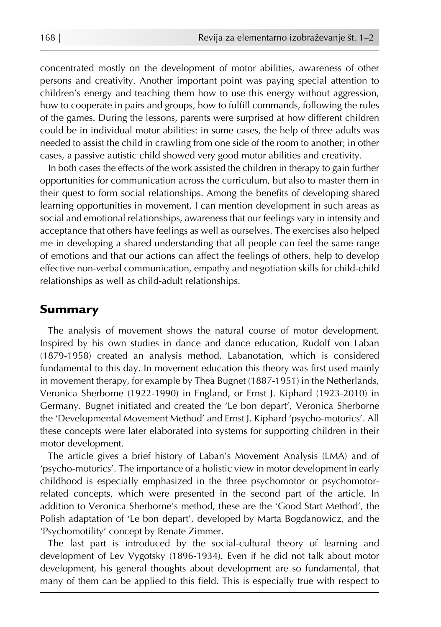concentrated mostly on the development of motor abilities, awareness of other persons and creativity. Another important point was paying special attention to children's energy and teaching them how to use this energy without aggression, how to cooperate in pairs and groups, how to fulfill commands, following the rules of the games. During the lessons, parents were surprised at how different children could be in individual motor abilities: in some cases, the help of three adults was needed to assist the child in crawling from one side of the room to another; in other cases, a passive autistic child showed very good motor abilities and creativity.

In both cases the effects of the work assisted the children in therapy to gain further opportunities for communication across the curriculum, but also to master them in their quest to form social relationships. Among the benefits of developing shared learning opportunities in movement, I can mention development in such areas as social and emotional relationships, awareness that our feelings vary in intensity and acceptance that others have feelings as well as ourselves. The exercises also helped me in developing a shared understanding that all people can feel the same range of emotions and that our actions can affect the feelings of others, help to develop effective non-verbal communication, empathy and negotiation skills for child-child relationships as well as child-adult relationships.

## Summary

The analysis of movement shows the natural course of motor development. Inspired by his own studies in dance and dance education, Rudolf von Laban (1879-1958) created an analysis method, Labanotation, which is considered fundamental to this day. In movement education this theory was first used mainly in movement therapy, for example by Thea Bugnet (1887-1951) in the Netherlands, Veronica Sherborne (1922-1990) in England, or Ernst J. Kiphard (1923-2010) in Germany. Bugnet initiated and created the 'Le bon depart', Veronica Sherborne the 'Developmental Movement Method' and Ernst J. Kiphard 'psycho-motorics'. All these concepts were later elaborated into systems for supporting children in their motor development.

The article gives a brief history of Laban's Movement Analysis (LMA) and of 'psycho-motorics'. The importance of a holistic view in motor development in early childhood is especially emphasized in the three psychomotor or psychomotorrelated concepts, which were presented in the second part of the article. In addition to Veronica Sherborne's method, these are the 'Good Start Method', the Polish adaptation of 'Le bon depart', developed by Marta Bogdanowicz, and the 'Psychomotility' concept by Renate Zimmer.

The last part is introduced by the social-cultural theory of learning and development of Lev Vygotsky (1896-1934). Even if he did not talk about motor development, his general thoughts about development are so fundamental, that many of them can be applied to this field. This is especially true with respect to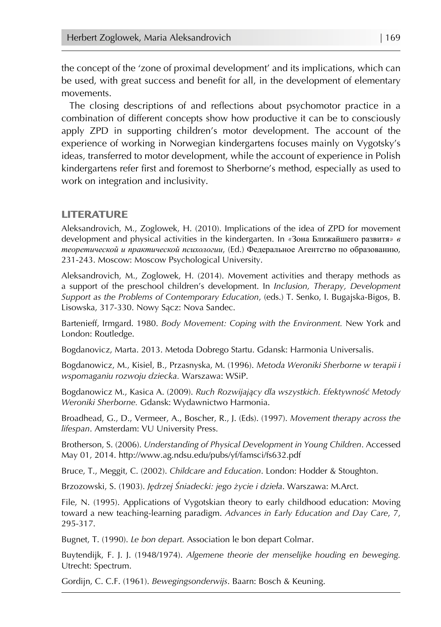the concept of the 'zone of proximal development' and its implications, which can be used, with great success and benefit for all, in the development of elementary movements.

The closing descriptions of and reflections about psychomotor practice in a combination of different concepts show how productive it can be to consciously apply ZPD in supporting children's motor development. The account of the experience of working in Norwegian kindergartens focuses mainly on Vygotsky's ideas, transferred to motor development, while the account of experience in Polish kindergartens refer first and foremost to Sherborne's method, especially as used to work on integration and inclusivity.

#### LITERATURE

Aleksandrovich, M., Zoglowek, H. (2010). Implications of the idea of ZPD for movement development and physical activities in the kindergarten. In *«*Зона Ближайшего развитя*» в теоретической и практической психологии*, (Ed.) Федеральное Агентство по образованию, 231-243. Moscow: Moscow Psychological University.

Aleksandrovich, M., Zoglowek, H. (2014). Movement activities and therapy methods as a support of the preschool children's development. In *Inclusion, Therapy, Development Support as the Problems of Contemporary Education*, (eds.) T. Senko, I. Bugajska-Bigos, B. Lisowska, 317-330. Nowy Sącz: Nova Sandec.

Bartenieff, Irmgard. 1980. *Body Movement: Coping with the Environment.* New York and London: Routledge.

Bogdanovicz, Marta. 2013. Metoda Dobrego Startu. Gdansk: Harmonia Universalis.

Bogdanowicz, M., Kisiel, B., Przasnyska, M. (1996). *Metoda Weroniki Sherborne w terapii i wspomaganiu rozwoju dziecka.* Warszawa: WSiP.

Bogdanowicz M., Kasica A. (2009). *Ruch Rozwijający dla wszystkich. Efektywność Metody Weroniki Sherborne.* Gdansk: Wydawnictwo Harmonia.

Broadhead, G., D., Vermeer, A., Boscher, R., J. (Eds). (1997). *Movement therapy across the lifespan*. Amsterdam: VU University Press.

Brotherson, S. (2006). *Understanding of Physical Development in Young Children*. Accessed May 01, 2014. http://www.ag.ndsu.edu/pubs/yf/famsci/fs632.pdf

Bruce, T., Meggit, C. (2002). *Childcare and Education*. London: Hodder & Stoughton.

Brzozowski, S. (1903). *Jędrzej Śniadecki: jego życie i dzieła*. Warszawa: M.Arct.

File, N. (1995). Applications of Vygotskian theory to early childhood education: Moving toward a new teaching-learning paradigm. *Advances in Early Education and Day Care*, 7, 295-317.

Bugnet, T. (1990). *Le bon depart.* Association le bon depart Colmar.

Buytendijk, F. J. J. (1948/1974). *Algemene theorie der menselijke houding en beweging.* Utrecht: Spectrum.

Gordijn, C. C.F. (1961). *Bewegingsonderwijs*. Baarn: Bosch & Keuning.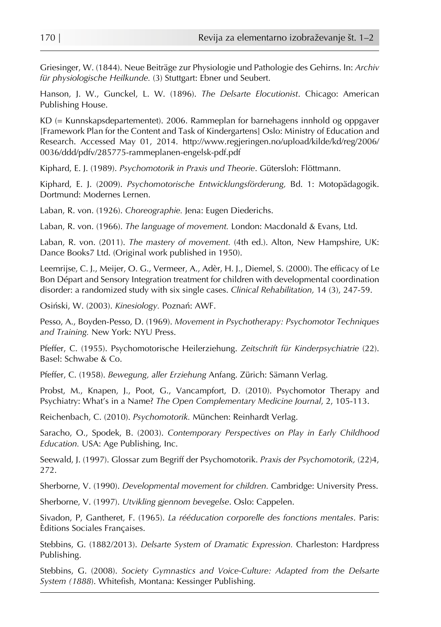Griesinger, W. (1844). Neue Beiträge zur Physiologie und Pathologie des Gehirns. In: *Archiv für physiologische Heilkunde.* (3) Stuttgart: Ebner und Seubert.

Hanson, J. W., Gunckel, L. W. (1896). *The Delsarte Elocutionist*. Chicago: American Publishing House.

KD (= Kunnskapsdepartementet). 2006. Rammeplan for barnehagens innhold og oppgaver [Framework Plan for the Content and Task of Kindergartens] Oslo: Ministry of Education and Research. Accessed May 01, 2014. http://www.regjeringen.no/upload/kilde/kd/reg/2006/ 0036/ddd/pdfv/285775-rammeplanen-engelsk-pdf.pdf

Kiphard, E. J. (1989). *Psychomotorik in Praxis und Theorie*. Gütersloh: Flöttmann.

Kiphard, E. J. (2009). *Psychomotorische Entwicklungsförderung,* Bd. 1: Motopädagogik. Dortmund: Modernes Lernen.

Laban, R. von. (1926). *Choreographie.* Jena: Eugen Diederichs.

Laban, R. von. (1966). *The language of movement.* London: Macdonald & Evans, Ltd.

Laban, R. von. (2011). *The mastery of movement.* (4th ed.). Alton, New Hampshire, UK: Dance Books7 Ltd. (Original work published in 1950).

Leemrijse, C. J., Meijer, O. G., Vermeer, A., Adèr, H. J., Diemel, S. (2000). The efficacy of Le Bon Départ and Sensory Integration treatment for children with developmental coordination disorder: a randomized study with six single cases. *Clinical Rehabilitation,* 14 (3), 247-59.

Osiński, W. (2003). *Kinesiology.* Poznań: AWF.

Pesso, A., Boyden-Pesso, D. (1969). *Movement in Psychotherapy: Psychomotor Techniques and Training.* New York: NYU Press.

Pfeffer, C. (1955). Psychomotorische Heilerziehung. *Zeitschrift für Kinderpsychiatrie* (22). Basel: Schwabe & Co.

Pfeffer, C. (1958). *Bewegung, aller Erziehung* Anfang. Zürich: Sämann Verlag.

Probst, M., Knapen, J., Poot, G., Vancampfort, D. (2010). Psychomotor Therapy and Psychiatry: What's in a Name? *The Open Complementary Medicine Journal*, 2, 105-113.

Reichenbach, C. (2010). *Psychomotorik.* München: Reinhardt Verlag.

Saracho, O., Spodek, B. (2003). *Contemporary Perspectives on Play in Early Childhood Education.* USA: Age Publishing, Inc.

Seewald, J. (1997). Glossar zum Begriff der Psychomotorik. *Praxis der Psychomotorik,* (22)4, 272.

Sherborne, V. (1990). *Developmental movement for children.* Cambridge: University Press.

Sherborne, V. (1997). *Utvikling gjennom bevegelse*. Oslo: Cappelen.

Sivadon, P, Gantheret, F. (1965). *La rééducation corporelle des fonctions mentales*. Paris: Èditions Sociales Françaises.

Stebbins, G. (1882/2013). *Delsarte System of Dramatic Expression.* Charleston: Hardpress Publishing.

Stebbins, G. (2008). *Society Gymnastics and Voice-Culture: Adapted from the Delsarte System (1888*). Whitefish, Montana: Kessinger Publishing.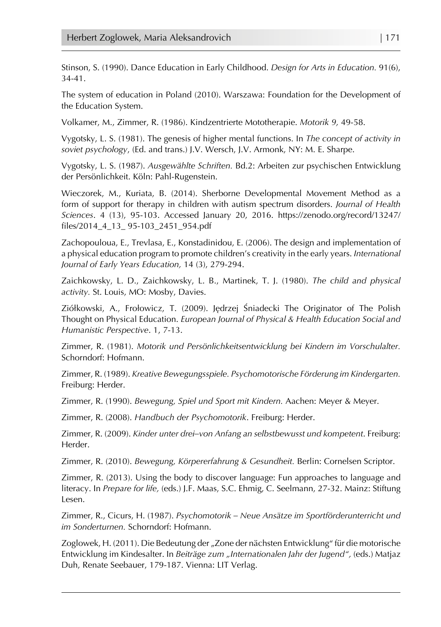Stinson, S. (1990). Dance Education in Early Childhood. *Design for Arts in Education.* 91(6), 34-41.

The system of education in Poland (2010). Warszawa: Foundation for the Development of the Education System.

Volkamer, M., Zimmer, R. (1986). Kindzentrierte Mototherapie. *Motorik 9,* 49-58.

Vygotsky, L. S. (1981). The genesis of higher mental functions. In *The concept of activity in soviet psychology*, (Ed. and trans.) J.V. Wersch, J.V. Armonk, NY: M. E. Sharpe.

Vygotsky, L. S. (1987). *Ausgewählte Schriften.* Bd.2: Arbeiten zur psychischen Entwicklung der Persönlichkeit. Köln: Pahl-Rugenstein.

Wieczorek, M., Kuriata, B. (2014). Sherborne Developmental Movement Method as a form of support for therapy in children with autism spectrum disorders. *Journal of Health Sciences*. 4 (13), 95-103. Accessed January 20, 2016. https://zenodo.org/record/13247/ files/2014\_4\_13\_ 95-103\_2451\_954.pdf

Zachopouloua, E., Trevlasa, E., Konstadinidou, E. (2006). The design and implementation of a physical education program to promote children's creativity in the early years. *International Journal of Early Years Education,* 14 (3), 279-294.

Zaichkowsky, L. D., Zaichkowsky, L. B., Martinek, T. J. (1980). *The child and physical activity.* St. Louis, MO: Mosby, Davies.

Ziółkowski, A., Frołowicz, T. (2009). Jędrzej Śniadecki The Originator of The Polish Thought on Physical Education. *European Journal of Physical & Health Education Social and Humanistic Perspective*. 1, 7-13.

Zimmer, R. (1981). *Motorik und Persönlichkeitsentwicklung bei Kindern im Vorschulalter.*  Schorndorf: Hofmann.

Zimmer, R. (1989). *Kreative Bewegungsspiele. Psychomotorische Förderung im Kindergarten.*  Freiburg: Herder.

Zimmer, R. (1990). *Bewegung, Spiel und Sport mit Kindern.* Aachen: Meyer & Meyer.

Zimmer, R. (2008). *Handbuch der Psychomotorik*. Freiburg: Herder.

Zimmer, R. (2009). *Kinder unter drei–von Anfang an selbstbewusst und kompetent*. Freiburg: Herder.

Zimmer, R. (2010). *Bewegung, Körpererfahrung & Gesundheit.* Berlin: Cornelsen Scriptor.

Zimmer, R. (2013). Using the body to discover language: Fun approaches to language and literacy. In *Prepare for life,* (eds.) J.F. Maas, S.C. Ehmig, C. Seelmann, 27-32. Mainz: Stiftung Lesen.

Zimmer, R., Cicurs, H. (1987). *Psychomotorik – Neue Ansätze im Sportförderunterricht und im Sonderturnen.* Schorndorf: Hofmann.

Zoglowek, H. (2011). Die Bedeutung der "Zone der nächsten Entwicklung" für die motorische Entwicklung im Kindesalter. In *Beiträge zum "Internationalen Jahr der Jugend",* (eds.) Matjaz Duh, Renate Seebauer, 179-187. Vienna: LIT Verlag.